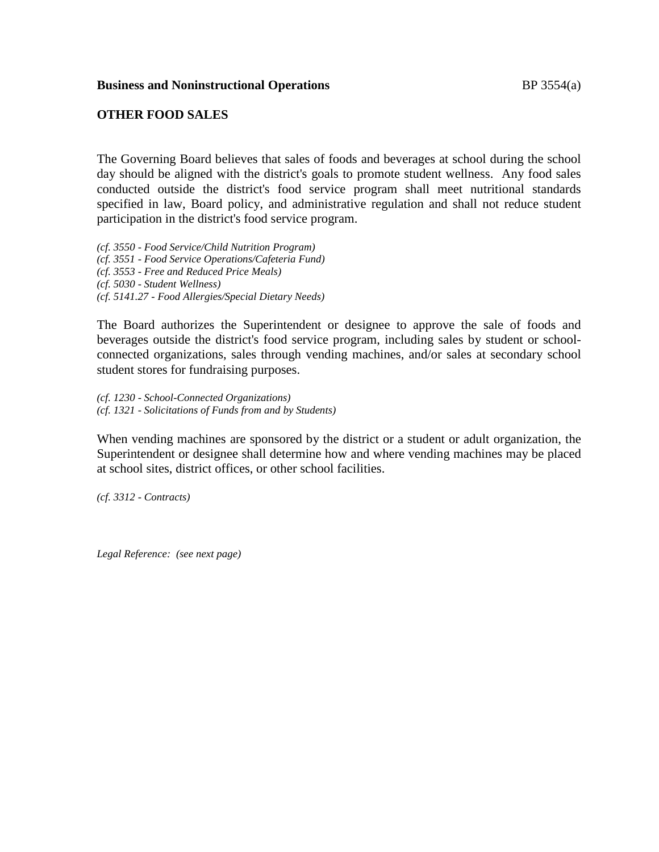### **Business and Noninstructional Operations** BP 3554(a)

## **OTHER FOOD SALES**

The Governing Board believes that sales of foods and beverages at school during the school day should be aligned with the district's goals to promote student wellness. Any food sales conducted outside the district's food service program shall meet nutritional standards specified in law, Board policy, and administrative regulation and shall not reduce student participation in the district's food service program.

*(cf. 3550 - Food Service/Child Nutrition Program) (cf. 3551 - Food Service Operations/Cafeteria Fund) (cf. 3553 - Free and Reduced Price Meals) (cf. 5030 - Student Wellness) (cf. 5141.27 - Food Allergies/Special Dietary Needs)*

The Board authorizes the Superintendent or designee to approve the sale of foods and beverages outside the district's food service program, including sales by student or schoolconnected organizations, sales through vending machines, and/or sales at secondary school student stores for fundraising purposes.

*(cf. 1230 - School-Connected Organizations) (cf. 1321 - Solicitations of Funds from and by Students)*

When vending machines are sponsored by the district or a student or adult organization, the Superintendent or designee shall determine how and where vending machines may be placed at school sites, district offices, or other school facilities.

*(cf. 3312 - Contracts)*

*Legal Reference: (see next page)*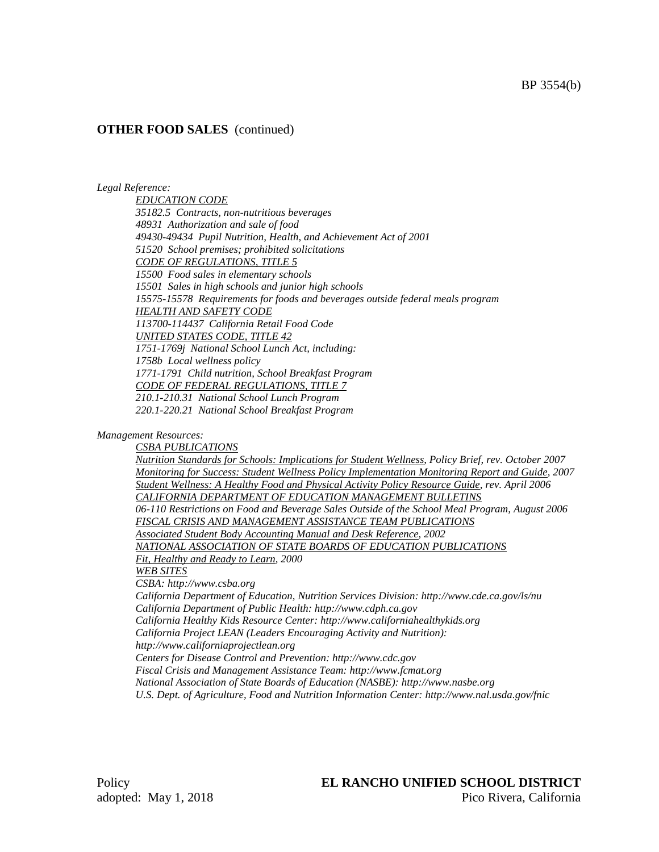### **OTHER FOOD SALES** (continued)

#### *Legal Reference:*

*EDUCATION CODE 35182.5 Contracts, non-nutritious beverages 48931 Authorization and sale of food 49430-49434 Pupil Nutrition, Health, and Achievement Act of 2001 51520 School premises; prohibited solicitations CODE OF REGULATIONS, TITLE 5 15500 Food sales in elementary schools 15501 Sales in high schools and junior high schools 15575-15578 Requirements for foods and beverages outside federal meals program HEALTH AND SAFETY CODE 113700-114437 California Retail Food Code UNITED STATES CODE, TITLE 42 1751-1769j National School Lunch Act, including: 1758b Local wellness policy 1771-1791 Child nutrition, School Breakfast Program CODE OF FEDERAL REGULATIONS, TITLE 7 210.1-210.31 National School Lunch Program 220.1-220.21 National School Breakfast Program*

#### *Management Resources:*

*CSBA PUBLICATIONS Nutrition Standards for Schools: Implications for Student Wellness, Policy Brief, rev. October 2007 Monitoring for Success: Student Wellness Policy Implementation Monitoring Report and Guide, 2007 Student Wellness: A Healthy Food and Physical Activity Policy Resource Guide, rev. April 2006 CALIFORNIA DEPARTMENT OF EDUCATION MANAGEMENT BULLETINS 06-110 Restrictions on Food and Beverage Sales Outside of the School Meal Program, August 2006 FISCAL CRISIS AND MANAGEMENT ASSISTANCE TEAM PUBLICATIONS Associated Student Body Accounting Manual and Desk Reference, 2002 NATIONAL ASSOCIATION OF STATE BOARDS OF EDUCATION PUBLICATIONS Fit, Healthy and Ready to Learn, 2000 WEB SITES CSBA: http://www.csba.org California Department of Education, Nutrition Services Division: http://www.cde.ca.gov/ls/nu California Department of Public Health: http://www.cdph.ca.gov California Healthy Kids Resource Center: http://www.californiahealthykids.org California Project LEAN (Leaders Encouraging Activity and Nutrition): http://www.californiaprojectlean.org Centers for Disease Control and Prevention: http://www.cdc.gov Fiscal Crisis and Management Assistance Team: http://www.fcmat.org National Association of State Boards of Education (NASBE): http://www.nasbe.org U.S. Dept. of Agriculture, Food and Nutrition Information Center: http://www.nal.usda.gov/fnic*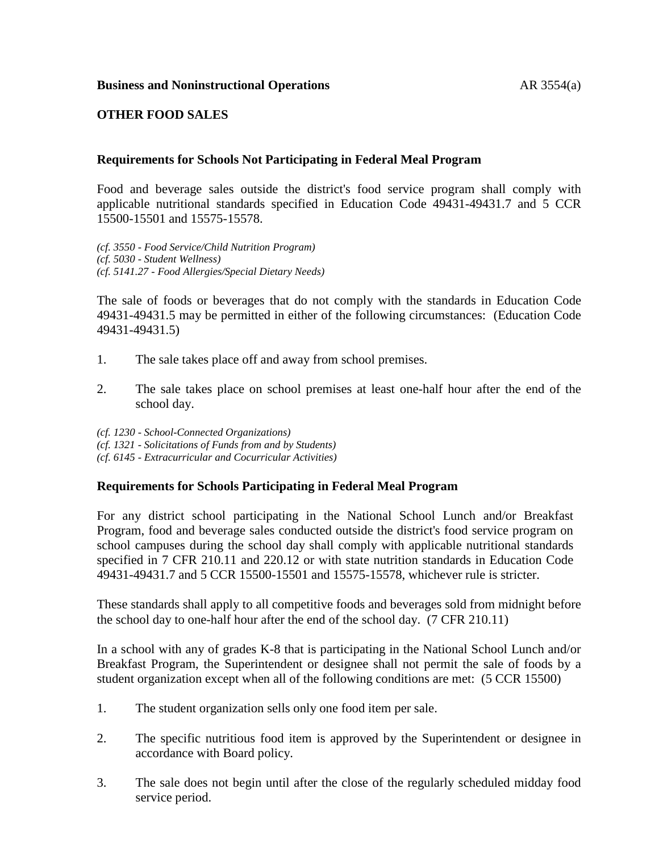# **OTHER FOOD SALES**

### **Requirements for Schools Not Participating in Federal Meal Program**

Food and beverage sales outside the district's food service program shall comply with applicable nutritional standards specified in Education Code 49431-49431.7 and 5 CCR 15500-15501 and 15575-15578.

*(cf. 3550 - Food Service/Child Nutrition Program) (cf. 5030 - Student Wellness) (cf. 5141.27 - Food Allergies/Special Dietary Needs)*

The sale of foods or beverages that do not comply with the standards in Education Code 49431-49431.5 may be permitted in either of the following circumstances: (Education Code 49431-49431.5)

- 1. The sale takes place off and away from school premises.
- 2. The sale takes place on school premises at least one-half hour after the end of the school day.

*(cf. 1230 - School-Connected Organizations)*

*(cf. 1321 - Solicitations of Funds from and by Students)*

*(cf. 6145 - Extracurricular and Cocurricular Activities)*

## **Requirements for Schools Participating in Federal Meal Program**

For any district school participating in the National School Lunch and/or Breakfast Program, food and beverage sales conducted outside the district's food service program on school campuses during the school day shall comply with applicable nutritional standards specified in 7 CFR 210.11 and 220.12 or with state nutrition standards in Education Code 49431-49431.7 and 5 CCR 15500-15501 and 15575-15578, whichever rule is stricter.

These standards shall apply to all competitive foods and beverages sold from midnight before the school day to one-half hour after the end of the school day. (7 CFR 210.11)

In a school with any of grades K-8 that is participating in the National School Lunch and/or Breakfast Program, the Superintendent or designee shall not permit the sale of foods by a student organization except when all of the following conditions are met: (5 CCR 15500)

- 1. The student organization sells only one food item per sale.
- 2. The specific nutritious food item is approved by the Superintendent or designee in accordance with Board policy.
- 3. The sale does not begin until after the close of the regularly scheduled midday food service period.